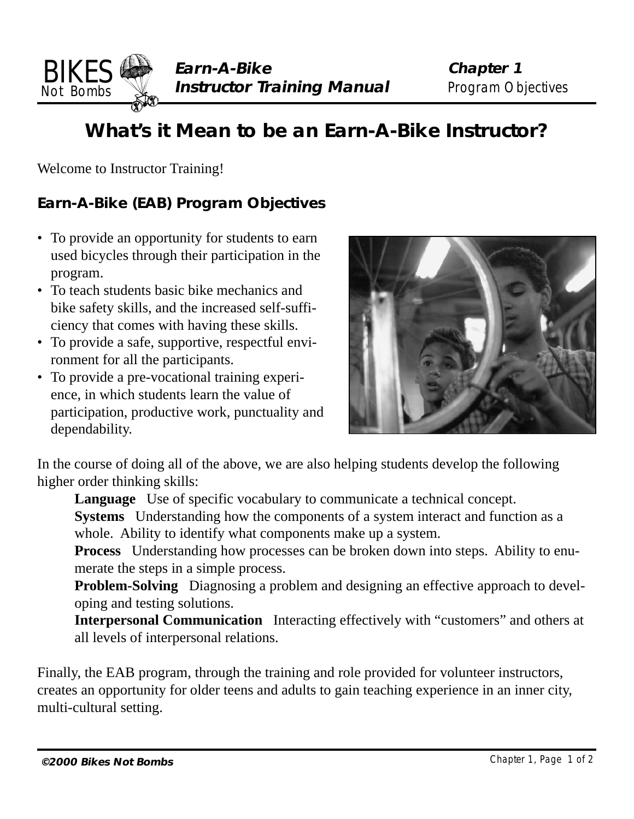

# **What's it Mean to be an Earn-A-Bike Instructor?**

Welcome to Instructor Training!

BIKES Not Bombs

### **Earn-A-Bike (EAB) Program Objectives**

- To provide an opportunity for students to earn used bicycles through their participation in the program.
- To teach students basic bike mechanics and bike safety skills, and the increased self-sufficiency that comes with having these skills.
- To provide a safe, supportive, respectful environment for all the participants.
- To provide a pre-vocational training experience, in which students learn the value of participation, productive work, punctuality and dependability.



In the course of doing all of the above, we are also helping students develop the following higher order thinking skills:

**Language** Use of specific vocabulary to communicate a technical concept.

**Systems** Understanding how the components of a system interact and function as a whole. Ability to identify what components make up a system.

**Process** Understanding how processes can be broken down into steps. Ability to enumerate the steps in a simple process.

**Problem-Solving** Diagnosing a problem and designing an effective approach to developing and testing solutions.

**Interpersonal Communication** Interacting effectively with "customers" and others at all levels of interpersonal relations.

Finally, the EAB program, through the training and role provided for volunteer instructors, creates an opportunity for older teens and adults to gain teaching experience in an inner city, multi-cultural setting.